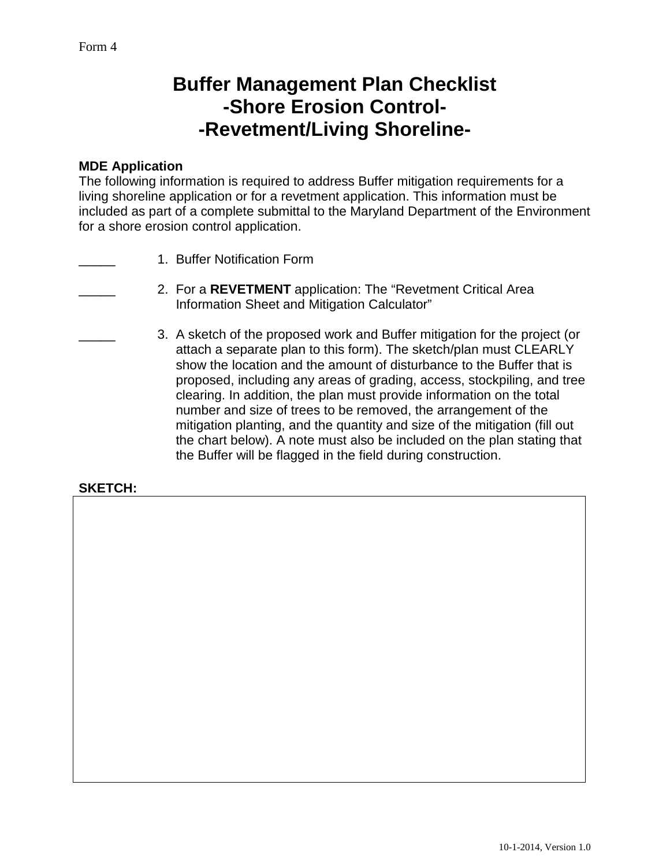# **Buffer Management Plan Checklist -Shore Erosion Control- -Revetment/Living Shoreline-**

#### **MDE Application**

The following information is required to address Buffer mitigation requirements for a living shoreline application or for a revetment application. This information must be included as part of a complete submittal to the Maryland Department of the Environment for a shore erosion control application.

- 1. Buffer Notification Form
	- \_\_\_\_\_ 2. For a **REVETMENT** application: The "Revetment Critical Area Information Sheet and Mitigation Calculator"
	- \_\_\_\_\_ 3. A sketch of the proposed work and Buffer mitigation for the project (or attach a separate plan to this form). The sketch/plan must CLEARLY show the location and the amount of disturbance to the Buffer that is proposed, including any areas of grading, access, stockpiling, and tree clearing. In addition, the plan must provide information on the total number and size of trees to be removed, the arrangement of the mitigation planting, and the quantity and size of the mitigation (fill out the chart below). A note must also be included on the plan stating that the Buffer will be flagged in the field during construction.

### **SKETCH:**